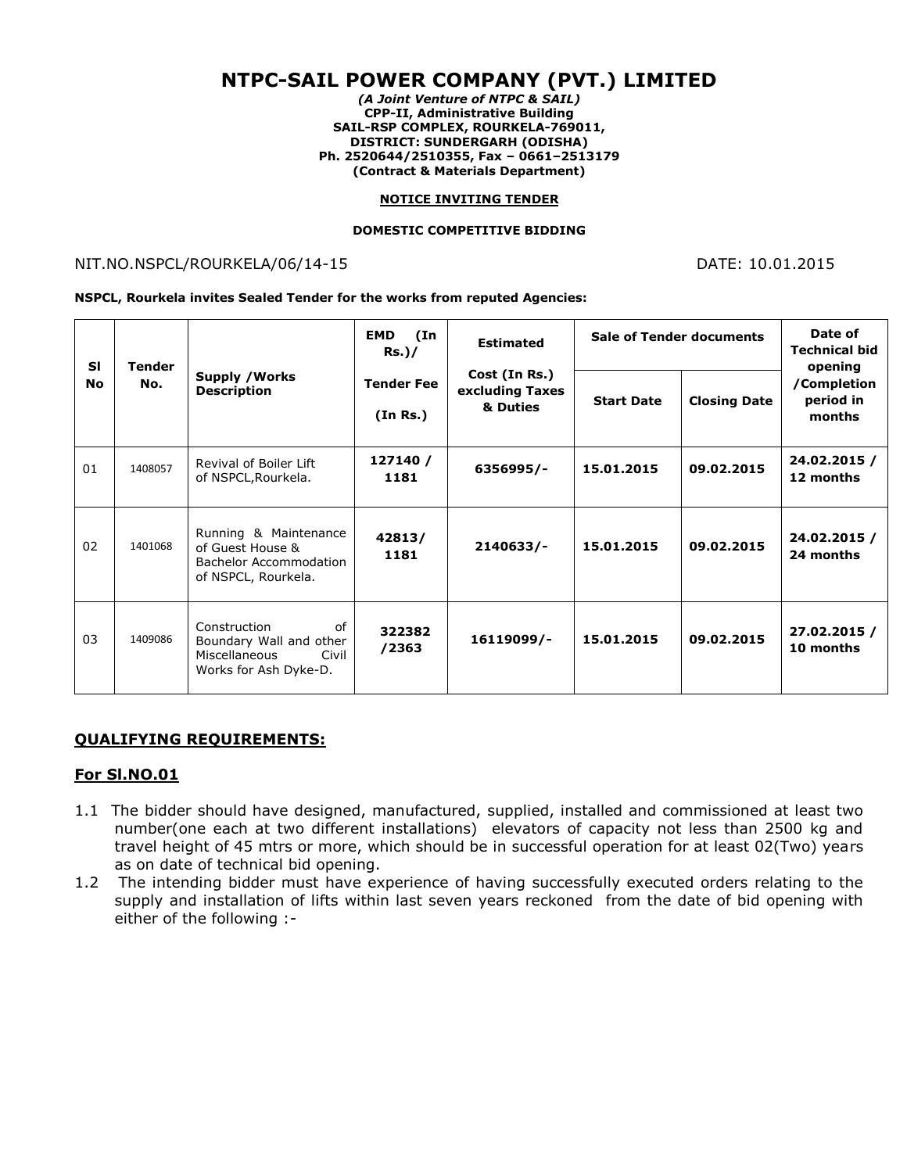# **NTPC-SAIL POWER COMPANY (PVT.) LIMITED**

*(A Joint Venture of NTPC & SAIL)* **CPP-II, Administrative Building SAIL-RSP COMPLEX, ROURKELA-769011, DISTRICT: SUNDERGARH (ODISHA) Ph. 2520644/2510355, Fax – 0661–2513179 (Contract & Materials Department)**

#### **NOTICE INVITING TENDER**

#### **DOMESTIC COMPETITIVE BIDDING**

#### NIT.NO.NSPCL/ROURKELA/06/14-15 DATE: 10.01.2015

**NSPCL, Rourkela invites Sealed Tender for the works from reputed Agencies:**

| <b>SI</b><br><b>No</b> | Tender<br>No. | <b>Supply / Works</b><br><b>Description</b>                                                       | <b>EMD</b><br>(In<br>$Rs.$ )/ | <b>Estimated</b><br>Cost (In Rs.)<br>excluding Taxes<br>& Duties | <b>Sale of Tender documents</b> |                     | Date of<br><b>Technical bid</b><br>opening |
|------------------------|---------------|---------------------------------------------------------------------------------------------------|-------------------------------|------------------------------------------------------------------|---------------------------------|---------------------|--------------------------------------------|
|                        |               |                                                                                                   | <b>Tender Fee</b><br>(In Rs.) |                                                                  | <b>Start Date</b>               | <b>Closing Date</b> | /Completion<br>period in<br>months         |
| 01                     | 1408057       | Revival of Boiler Lift<br>of NSPCL, Rourkela.                                                     | 127140 /<br>1181              | 6356995/-                                                        | 15.01.2015                      | 09.02.2015          | 24.02.2015 /<br>12 months                  |
| 02                     | 1401068       | Running & Maintenance<br>of Guest House &<br><b>Bachelor Accommodation</b><br>of NSPCL, Rourkela. | 42813/<br>1181                | $2140633/-$                                                      | 15.01.2015                      | 09.02.2015          | 24.02.2015 /<br>24 months                  |
| 03                     | 1409086       | Construction<br>of<br>Boundary Wall and other<br>Miscellaneous<br>Civil<br>Works for Ash Dyke-D.  | 322382<br>/2363               | 16119099/-                                                       | 15.01.2015                      | 09.02.2015          | 27.02.2015 /<br>10 months                  |

#### **QUALIFYING REQUIREMENTS:**

#### **For Sl.NO.01**

- 1.1 The bidder should have designed, manufactured, supplied, installed and commissioned at least two number(one each at two different installations) elevators of capacity not less than 2500 kg and travel height of 45 mtrs or more, which should be in successful operation for at least 02(Two) years as on date of technical bid opening.
- 1.2 The intending bidder must have experience of having successfully executed orders relating to the supply and installation of lifts within last seven years reckoned from the date of bid opening with either of the following :-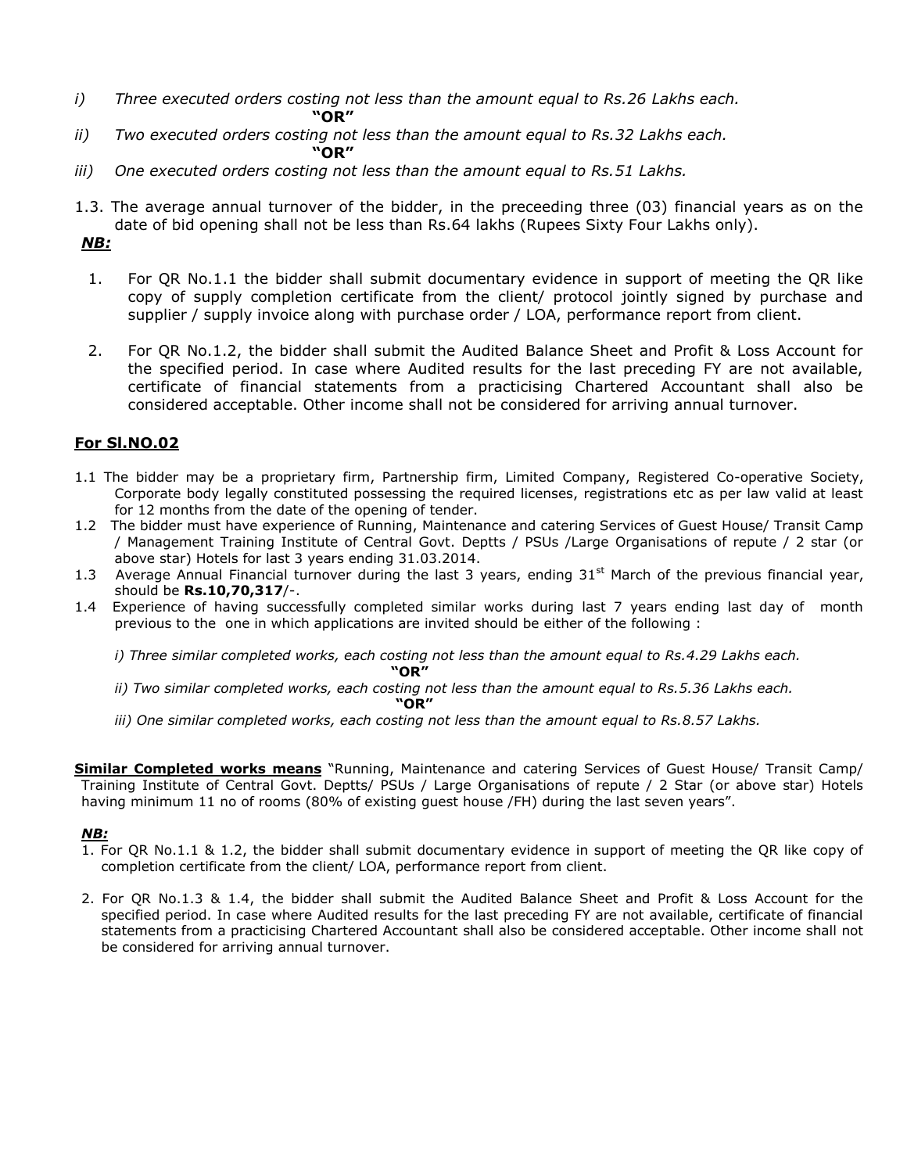- *i) Three executed orders costing not less than the amount equal to Rs.26 Lakhs each.* **"OR"**
- *ii) Two executed orders costing not less than the amount equal to Rs.32 Lakhs each.* **"OR"**
- *iii) One executed orders costing not less than the amount equal to Rs.51 Lakhs.*
- 1.3. The average annual turnover of the bidder, in the preceeding three (03) financial years as on the date of bid opening shall not be less than Rs.64 lakhs (Rupees Sixty Four Lakhs only).

# *NB:*

- 1. For QR No.1.1 the bidder shall submit documentary evidence in support of meeting the QR like copy of supply completion certificate from the client/ protocol jointly signed by purchase and supplier / supply invoice along with purchase order / LOA, performance report from client.
- 2. For QR No.1.2, the bidder shall submit the Audited Balance Sheet and Profit & Loss Account for the specified period. In case where Audited results for the last preceding FY are not available, certificate of financial statements from a practicising Chartered Accountant shall also be considered acceptable. Other income shall not be considered for arriving annual turnover.

### **For Sl.NO.02**

- 1.1 The bidder may be a proprietary firm, Partnership firm, Limited Company, Registered Co-operative Society, Corporate body legally constituted possessing the required licenses, registrations etc as per law valid at least for 12 months from the date of the opening of tender.
- 1.2 The bidder must have experience of Running, Maintenance and catering Services of Guest House/ Transit Camp / Management Training Institute of Central Govt. Deptts / PSUs /Large Organisations of repute / 2 star (or above star) Hotels for last 3 years ending 31.03.2014.
- 1.3 Average Annual Financial turnover during the last 3 years, ending  $31<sup>st</sup>$  March of the previous financial year, should be **Rs.10,70,317**/-.
- 1.4 Experience of having successfully completed similar works during last 7 years ending last day of month previous to the one in which applications are invited should be either of the following :

*i) Three similar completed works, each costing not less than the amount equal to Rs.4.29 Lakhs each.* 

**"OR"**

- *ii) Two similar completed works, each costing not less than the amount equal to Rs.5.36 Lakhs each.*
- **"OR"** *iii) One similar completed works, each costing not less than the amount equal to Rs.8.57 Lakhs.*

**Similar Completed works means** "Running, Maintenance and catering Services of Guest House/ Transit Camp/ Training Institute of Central Govt. Deptts/ PSUs / Large Organisations of repute / 2 Star (or above star) Hotels having minimum 11 no of rooms (80% of existing guest house /FH) during the last seven years".

#### *NB:*

- 1. For QR No.1.1 & 1.2, the bidder shall submit documentary evidence in support of meeting the QR like copy of completion certificate from the client/ LOA, performance report from client.
- 2. For QR No.1.3 & 1.4, the bidder shall submit the Audited Balance Sheet and Profit & Loss Account for the specified period. In case where Audited results for the last preceding FY are not available, certificate of financial statements from a practicising Chartered Accountant shall also be considered acceptable. Other income shall not be considered for arriving annual turnover.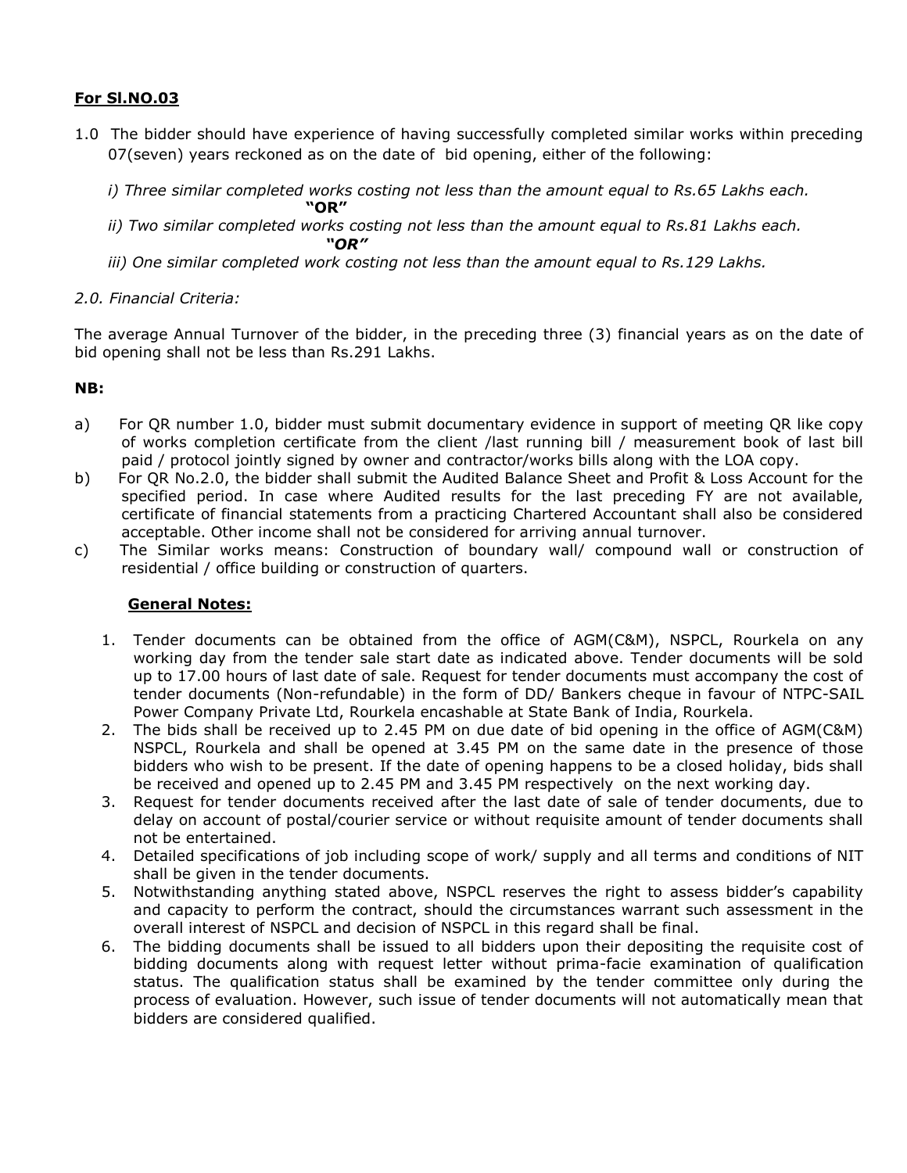# **For Sl.NO.03**

- 1.0 The bidder should have experience of having successfully completed similar works within preceding 07(seven) years reckoned as on the date of bid opening, either of the following:
	- *i) Three similar completed works costing not less than the amount equal to Rs.65 Lakhs each.*
	- **"OR"** *ii) Two similar completed works costing not less than the amount equal to Rs.81 Lakhs each. "OR"*
	- *iii) One similar completed work costing not less than the amount equal to Rs.129 Lakhs.*

### *2.0. Financial Criteria:*

The average Annual Turnover of the bidder, in the preceding three (3) financial years as on the date of bid opening shall not be less than Rs.291 Lakhs.

### **NB:**

- a) For QR number 1.0, bidder must submit documentary evidence in support of meeting QR like copy of works completion certificate from the client /last running bill / measurement book of last bill paid / protocol jointly signed by owner and contractor/works bills along with the LOA copy.
- b) For QR No.2.0, the bidder shall submit the Audited Balance Sheet and Profit & Loss Account for the specified period. In case where Audited results for the last preceding FY are not available, certificate of financial statements from a practicing Chartered Accountant shall also be considered acceptable. Other income shall not be considered for arriving annual turnover.
- c) The Similar works means: Construction of boundary wall/ compound wall or construction of residential / office building or construction of quarters.

#### **General Notes:**

- 1. Tender documents can be obtained from the office of AGM(C&M), NSPCL, Rourkela on any working day from the tender sale start date as indicated above. Tender documents will be sold up to 17.00 hours of last date of sale. Request for tender documents must accompany the cost of tender documents (Non-refundable) in the form of DD/ Bankers cheque in favour of NTPC-SAIL Power Company Private Ltd, Rourkela encashable at State Bank of India, Rourkela.
- 2. The bids shall be received up to 2.45 PM on due date of bid opening in the office of AGM(C&M) NSPCL, Rourkela and shall be opened at 3.45 PM on the same date in the presence of those bidders who wish to be present. If the date of opening happens to be a closed holiday, bids shall be received and opened up to 2.45 PM and 3.45 PM respectively on the next working day.
- 3. Request for tender documents received after the last date of sale of tender documents, due to delay on account of postal/courier service or without requisite amount of tender documents shall not be entertained.
- 4. Detailed specifications of job including scope of work/ supply and all terms and conditions of NIT shall be given in the tender documents.
- 5. Notwithstanding anything stated above, NSPCL reserves the right to assess bidder's capability and capacity to perform the contract, should the circumstances warrant such assessment in the overall interest of NSPCL and decision of NSPCL in this regard shall be final.
- 6. The bidding documents shall be issued to all bidders upon their depositing the requisite cost of bidding documents along with request letter without prima-facie examination of qualification status. The qualification status shall be examined by the tender committee only during the process of evaluation. However, such issue of tender documents will not automatically mean that bidders are considered qualified.